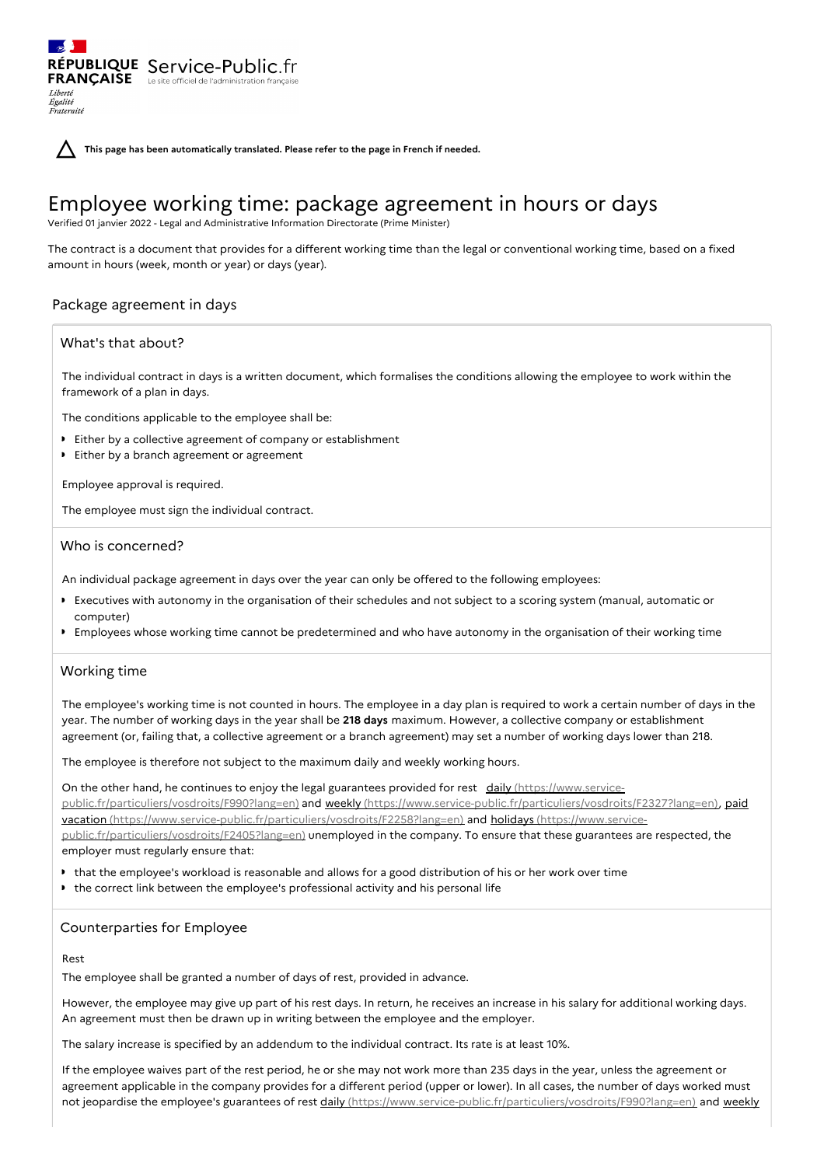**This page has been automatically translated. Please refer to the page in French if needed.**

# Employee working time: package agreement in hours or days

Verified 01 janvier 2022 - Legal and Administrative Information Directorate (Prime Minister)

The contract is a document that provides for a different working time than the legal or conventional working time, based on a fixed amount in hours (week, month or year) or days (year).

# Package agreement in days

RÉPUBLIQUE Service-Public.fr **FRANCAISE** Le site officiel de l'administration

## What's that about?

Liberté Égalité<br>Fraternité

> The individual contract in days is a written document, which formalises the conditions allowing the employee to work within the framework of a plan in days.

The conditions applicable to the employee shall be:

- Either by a collective agreement of company or establishment
- **Either by a branch agreement or agreement**

Employee approval is required.

The employee must sign the individual contract.

## Who is concerned?

An individual package agreement in days over the year can only be offered to the following employees:

- Executives with autonomy in the organisation of their schedules and not subject to a scoring system (manual, automatic or computer)
- Employees whose working time cannot be predetermined and who have autonomy in the organisation of their working time

# Working time

The employee's working time is not counted in hours. The employee in a day plan is required to work a certain number of days in the year. The number of working days in the year shall be **218 days** maximum. However, a collective company or establishment agreement (or, failing that, a collective agreement or a branch agreement) may set a number of working days lower than 218.

The employee is therefore not subject to the maximum daily and weekly working hours.

On the other hand, he continues to enjoy the legal guarantees provided for rest daily (https://www.servicepublic.fr/particuliers/vosdroits/F990?lang=en) and weekly [\(https://www.service-public.fr/particuliers/vosdroi](https://www.service-public.fr/particuliers/vosdroits/F990?lang=en)[ts/F2327?lang=en](https://www.service-public.fr/particuliers/vosdroits/F2327?lang=en)[\),](https://www.service-public.fr/particuliers/vosdroits/F2258?lang=en) paid vacation [\(https://www.service-public.fr/particuliers/vosdroits/F2258?lang=en\)](https://www.service-public.fr/particuliers/vosdroits/F2405?lang=en) and holidays (https://www.servicepublic.fr/particuliers/vosdroits/F2405?lang=en) unemployed in the company. To ensure that these guarantees are respected, the employer must regularly ensure that:

- that the employee's workload is reasonable and allows for a good distribution of his or her work over time
- the correct link between the employee's professional activity and his personal life

# Counterparties for Employee

#### Rest

The employee shall be granted a number of days of rest, provided in advance.

However, the employee may give up part of his rest days. In return, he receives an increase in his salary for additional working days. An agreement must then be drawn up in writing between the employee and the employer.

The salary increase is specified by an addendum to the individual contract. Its rate is at least 10%.

If the employee waives part of the rest period, he or she may not work more than 235 days in the year, unless the agreement or agreement applicable in the company provides for a different period (upper or lower). In all cases, the number of days worked must not jeopardise the employee's guarantees of rest daily [\(https://www.service-public.fr/particuliers/vosdroits/F990?lang=en](https://www.service-public.fr/particuliers/vosdroits/F990?lang=en)[\)](https://www.service-public.fr/particuliers/vosdroits/F2327?lang=en) and weekly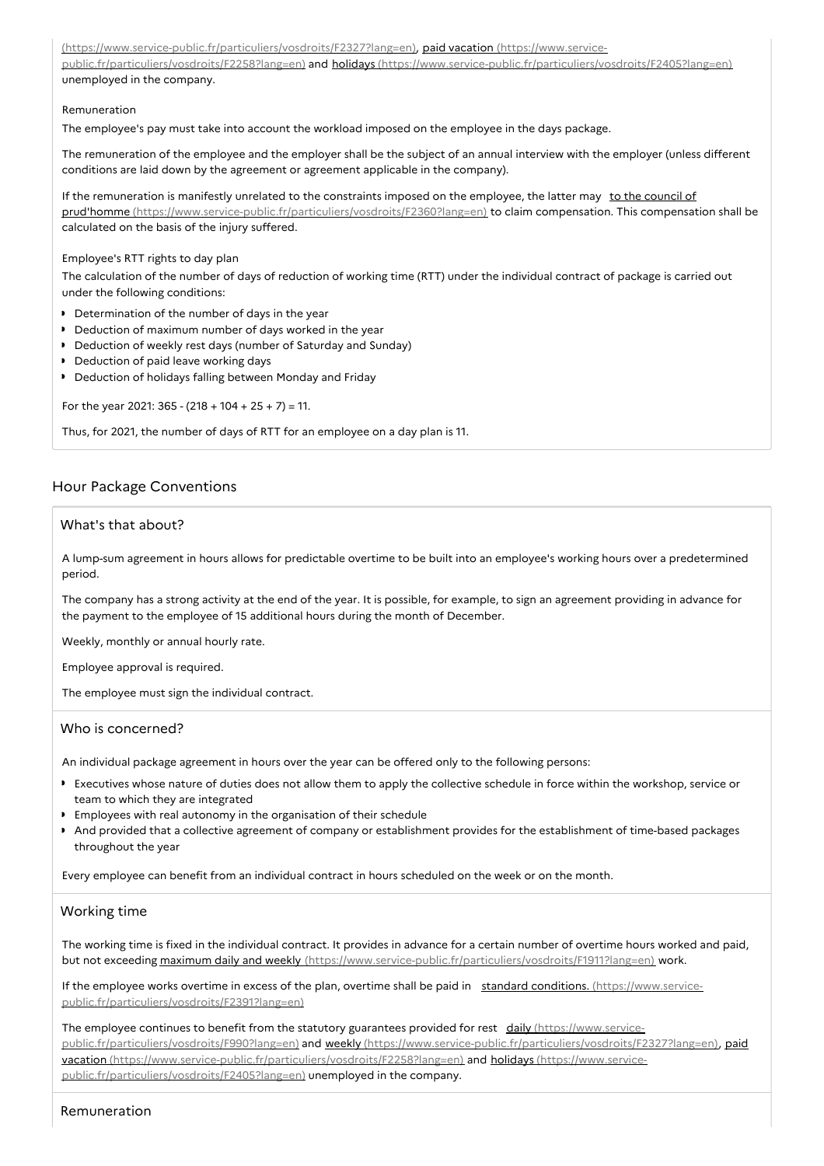[\(https://www.service-public.fr/particuliers/vosdroits/F2327?lang=en\),](https://www.service-public.fr/particuliers/vosdroits/F2258?lang=en) paid vacation (https://www.servicepublic.fr/particuliers/vosdroits/F2258?lang=en) and holidays [\(https://www.service-public.fr/particuliers/vosdroits/F2405?lang=en\)](https://www.service-public.fr/particuliers/vosdroits/F2405?lang=en) unemployed in the company.

#### Remuneration

The employee's pay must take into account the workload imposed on the employee in the days package.

The remuneration of the employee and the employer shall be the subject of an annual interview with the employer (unless different conditions are laid down by the agreement or agreement applicable in the company).

If the remuneration is manifestly unrelated to the constraints imposed on the employee, the latter may to the council of prud'homme [\(https://www.service-public.fr/particuliers/vosdroits/F2360?lang=en\)](https://www.service-public.fr/particuliers/vosdroits/F2360?lang=en) to claim compensation. This compensation shall be calculated on the basis of the injury suffered.

#### Employee's RTT rights to day plan

The calculation of the number of days of reduction of working time (RTT) under the individual contract of package is carried out under the following conditions:

- Determination of the number of days in the year
- Deduction of maximum number of days worked in the year
- Deduction of weekly rest days (number of Saturday and Sunday)
- Deduction of paid leave working days
- Deduction of holidays falling between Monday and Friday

For the year 2021:  $365 - (218 + 104 + 25 + 7) = 11$ .

Thus, for 2021, the number of days of RTT for an employee on a day plan is 11.

# Hour Package Conventions

# What's that about?

A lump-sum agreement in hours allows for predictable overtime to be built into an employee's working hours over a predetermined period.

The company has a strong activity at the end of the year. It is possible, for example, to sign an agreement providing in advance for the payment to the employee of 15 additional hours during the month of December.

Weekly, monthly or annual hourly rate.

Employee approval is required.

The employee must sign the individual contract.

# Who is concerned?

An individual package agreement in hours over the year can be offered only to the following persons:

- Executives whose nature of duties does not allow them to apply the collective schedule in force within the workshop, service or team to which they are integrated
- Employees with real autonomy in the organisation of their schedule
- And provided that a collective agreement of company or establishment provides for the establishment of time-based packages  $\bullet$ throughout the year

Every employee can benefit from an individual contract in hours scheduled on the week or on the month.

### Working time

The working time is fixed in the individual contract. It provides in advance for a certain number of overtime hours worked and paid, but not exceeding maximum daily and weekly [\(https://www.service-public.fr/particuliers/vosdroits/F1911?lang=en\)](https://www.service-public.fr/particuliers/vosdroits/F1911?lang=en) work.

If the employee works overtime in excess of the plan, overtime shall be paid in standard conditions. (https://www.service[public.fr/particuliers/vosdroits/F2391?lang=en\)](https://www.service-public.fr/particuliers/vosdroits/F2391?lang=en)

The employee continues to benefit from the statutory guarantees provided for rest daily (https://www.servicepublic.fr/particuliers/vosdroits/F990?lang=en) and weekly [\(https://www.service-public.fr/particuliers/vosdroits/F](https://www.service-public.fr/particuliers/vosdroits/F990?lang=en)[2327?lang=en](https://www.service-public.fr/particuliers/vosdroits/F2327?lang=en)[\),](https://www.service-public.fr/particuliers/vosdroits/F2258?lang=en) paid vacation [\(https://www.service-public.fr/particuliers/vosdroits/F2258?lang=en\)](https://www.service-public.fr/particuliers/vosdroits/F2405?lang=en) and holidays (https://www.servicepublic.fr/particuliers/vosdroits/F2405?lang=en) unemployed in the company.

# Remuneration